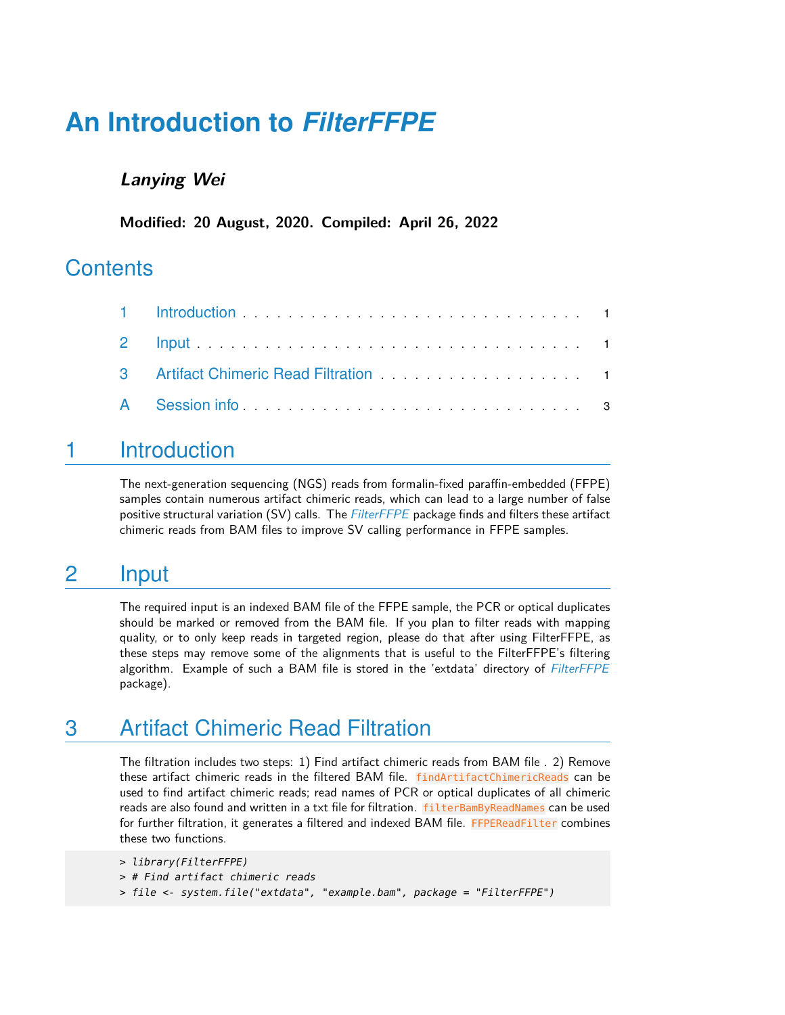# **An Introduction to** *[FilterFFPE](http://bioconductor.org/packages/FilterFFPE)*

#### **Lanying Wei**

**Modified: 20 August, 2020. Compiled: April 26, 2022**

#### **Contents**

| A Session info |  |
|----------------|--|

#### <span id="page-0-0"></span>1 Introduction

<span id="page-0-1"></span>The next-generation sequencing (NGS) reads from formalin-fixed paraffin-embedded (FFPE) samples contain numerous artifact chimeric reads, which can lead to a large number of false positive structural variation (SV) calls. The [FilterFFPE](http://bioconductor.org/packages/FilterFFPE) package finds and filters these artifact chimeric reads from BAM files to improve SV calling performance in FFPE samples.

### 2 Input

The required input is an indexed BAM file of the FFPE sample, the PCR or optical duplicates should be marked or removed from the BAM file. If you plan to filter reads with mapping quality, or to only keep reads in targeted region, please do that after using FilterFFPE, as these steps may remove some of the alignments that is useful to the FilterFFPE's filtering algorithm. Example of such a BAM file is stored in the 'extdata' directory of [FilterFFPE](http://bioconductor.org/packages/FilterFFPE) package).

### <span id="page-0-2"></span>3 Artifact Chimeric Read Filtration

The filtration includes two steps: 1) Find artifact chimeric reads from BAM file . 2) Remove these artifact chimeric reads in the filtered BAM file. findArtifactChimericReads can be used to find artifact chimeric reads; read names of PCR or optical duplicates of all chimeric reads are also found and written in a txt file for filtration. filterBamByReadNames can be used for further filtration, it generates a filtered and indexed BAM file. FFPEReadFilter combines these two functions.

```
> library(FilterFFPE)
> # Find artifact chimeric reads
> file <- system.file("extdata", "example.bam", package = "FilterFFPE")
```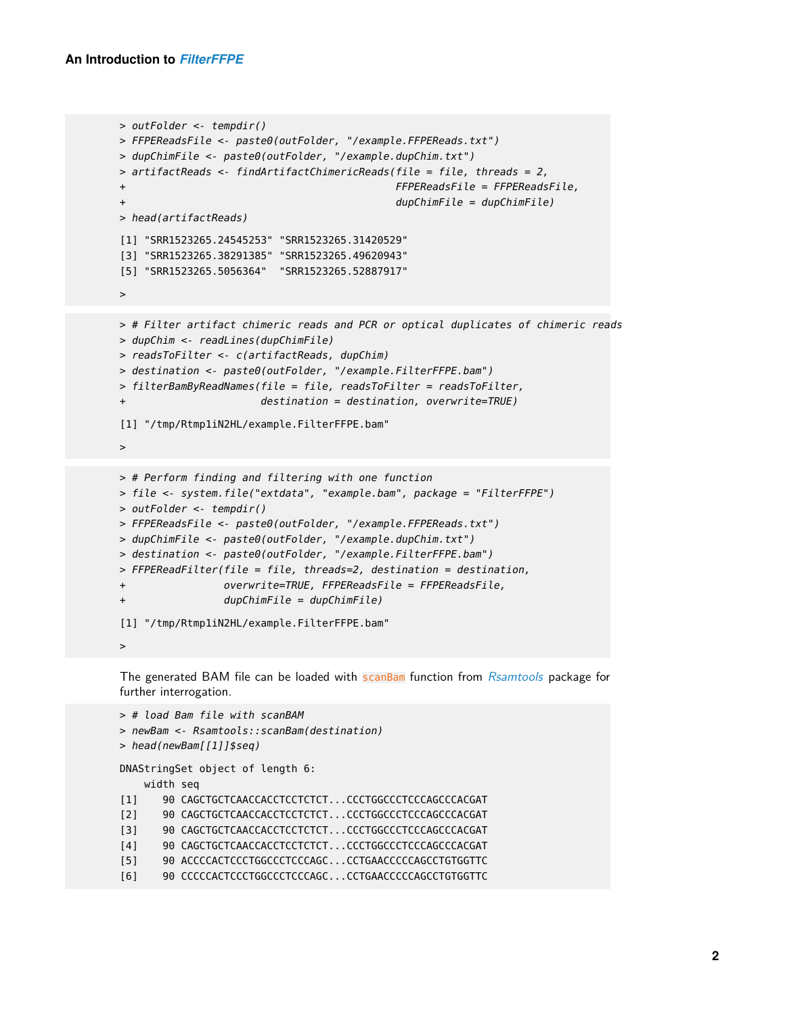```
> outFolder <- tempdir()
> FFPEReadsFile <- paste0(outFolder, "/example.FFPEReads.txt")
> dupChimFile <- paste0(outFolder, "/example.dupChim.txt")
> artifactReads <- findArtifactChimericReads(file = file, threads = 2,
+ FFPEReadsFile = FFPEReadsFile,
                                            dupChimFile = dupChimFile)> head(artifactReads)
[1] "SRR1523265.24545253" "SRR1523265.31420529"
[3] "SRR1523265.38291385" "SRR1523265.49620943"
[5] "SRR1523265.5056364" "SRR1523265.52887917"
>
> # Filter artifact chimeric reads and PCR or optical duplicates of chimeric reads
> dupChim <- readLines(dupChimFile)
> readsToFilter <- c(artifactReads, dupChim)
> destination <- paste0(outFolder, "/example.FilterFFPE.bam")
> filterBamByReadNames(file = file, readsToFilter = readsToFilter,
                      destination = destination, overwrite=TRUE)
[1] "/tmp/Rtmp1iN2HL/example.FilterFFPE.bam"
>
> # Perform finding and filtering with one function
> file <- system.file("extdata", "example.bam", package = "FilterFFPE")
> outFolder <- tempdir()
> FFPEReadsFile <- paste0(outFolder, "/example.FFPEReads.txt")
> dupChimFile <- paste0(outFolder, "/example.dupChim.txt")
> destination <- paste0(outFolder, "/example.FilterFFPE.bam")
```

```
> FFPEReadFilter(file = file, threads=2, destination = destination,
```

```
+ overwrite=TRUE, FFPEReadsFile = FFPEReadsFile,
```

```
+ dupChimFile = dupChimFile)
```

```
[1] "/tmp/Rtmp1iN2HL/example.FilterFFPE.bam"
```
 $\rightarrow$ 

The generated BAM file can be loaded with scanBam function from [Rsamtools](http://bioconductor.org/packages/Rsamtools) package for further interrogation.

```
> # load Bam file with scanBAM
> newBam <- Rsamtools::scanBam(destination)
> head(newBam[[1]]$seq)
DNAStringSet object of length 6:
    width seq
[1] 90 CAGCTGCTCAACCACCTCCTCTCT...CCCTGGCCCTCCCAGCCCACGAT
[2] 90 CAGCTGCTCAACCACCTCCTCTCT...CCCTGGCCCTCCCAGCCCACGAT
[3] 90 CAGCTGCTCAACCACCTCCTCTCT...CCCTGGCCCTCCCAGCCCACGAT
[4] 90 CAGCTGCTCAACCACCTCCTCTCT...CCCTGGCCCTCCCAGCCCACGAT
[5] 90 ACCCCACTCCCTGGCCCTCCCAGC...CCTGAACCCCCAGCCTGTGGTTC
[6] 90 CCCCCACTCCCTGGCCCTCCCAGC...CCTGAACCCCCAGCCTGTGGTTC
```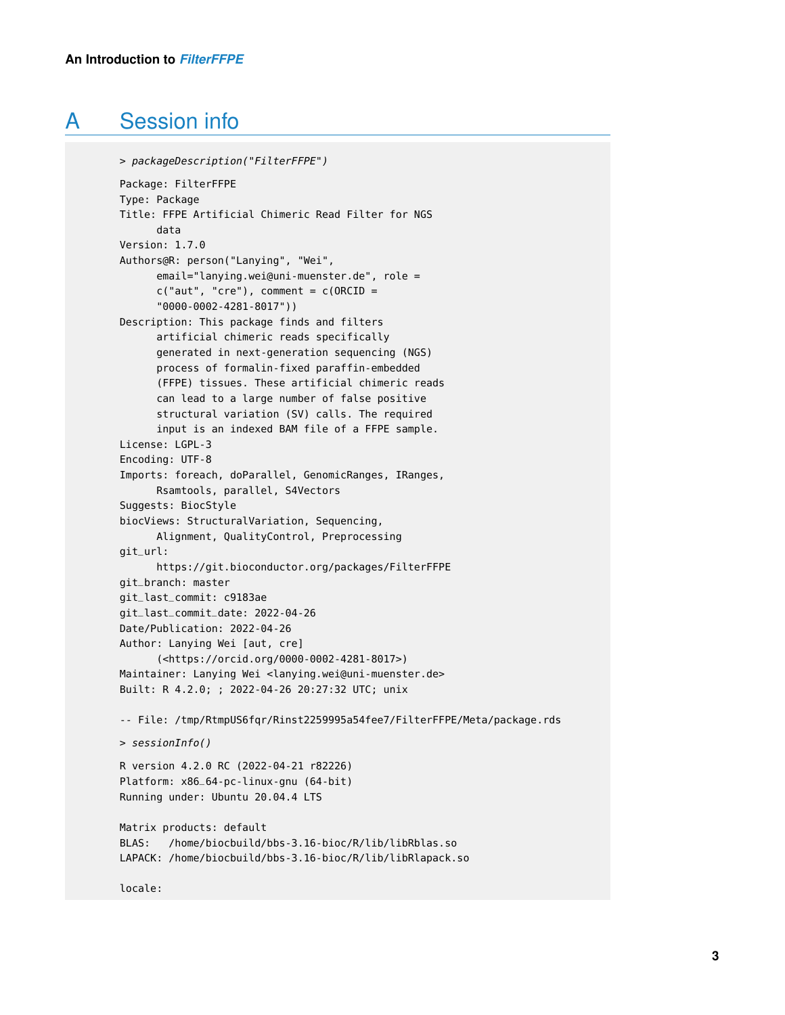## A Session info

```
> packageDescription("FilterFFPE")
Package: FilterFFPE
Type: Package
Title: FFPE Artificial Chimeric Read Filter for NGS
      data
Version: 1.7.0
Authors@R: person("Lanying", "Wei",
      email="lanying.wei@uni-muenster.de", role =
      c("aut", "cre"), comment = c(ORCID ="0000-0002-4281-8017"))
Description: This package finds and filters
      artificial chimeric reads specifically
      generated in next-generation sequencing (NGS)
      process of formalin-fixed paraffin-embedded
      (FFPE) tissues. These artificial chimeric reads
      can lead to a large number of false positive
      structural variation (SV) calls. The required
      input is an indexed BAM file of a FFPE sample.
License: LGPL-3
Encoding: UTF-8
Imports: foreach, doParallel, GenomicRanges, IRanges,
      Rsamtools, parallel, S4Vectors
Suggests: BiocStyle
biocViews: StructuralVariation, Sequencing,
      Alignment, QualityControl, Preprocessing
git_url:
      https://git.bioconductor.org/packages/FilterFFPE
git_branch: master
git_last_commit: c9183ae
git_last_commit_date: 2022-04-26
Date/Publication: 2022-04-26
Author: Lanying Wei [aut, cre]
      (<https://orcid.org/0000-0002-4281-8017>)
Maintainer: Lanying Wei <lanying.wei@uni-muenster.de>
Built: R 4.2.0; ; 2022-04-26 20:27:32 UTC; unix
-- File: /tmp/RtmpUS6fqr/Rinst2259995a54fee7/FilterFFPE/Meta/package.rds
> sessionInfo()
R version 4.2.0 RC (2022-04-21 r82226)
Platform: x86_64-pc-linux-gnu (64-bit)
Running under: Ubuntu 20.04.4 LTS
Matrix products: default
BLAS: /home/biocbuild/bbs-3.16-bioc/R/lib/libRblas.so
LAPACK: /home/biocbuild/bbs-3.16-bioc/R/lib/libRlapack.so
```
locale: